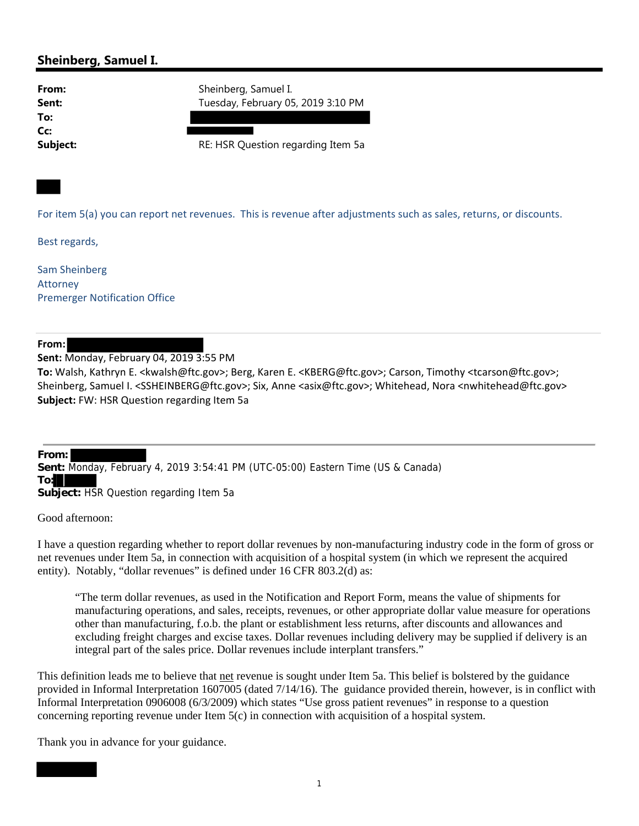## **Sheinberg, Samuel I.**

**To: Cc:**

**From:** Sheinberg, Samuel I. Sent: Tuesday, February 05, 2019 3:10 PM

**Subject:** RE: HSR Question regarding Item 5a

For item 5(a) you can report net revenues. This is revenue after adjustments such as sales, returns, or discounts.

Best regards,

Sam Sheinberg Attorney Premerger Notification Office

## **From:**

**Sent:** Monday, February 04, 2019 3:55 PM

**To:** Walsh, Kathryn E. <kwalsh@ftc.gov>; Berg, Karen E. <KBERG@ftc.gov>; Carson, Timothy <tcarson@ftc.gov>; Sheinberg, Samuel I. <SSHEINBERG@ftc.gov>; Six, Anne <asix@ftc.gov>; Whitehead, Nora <nwhitehead@ftc.gov> **Subject:** FW: HSR Question regarding Item 5a

**From: Sent:** Monday, February 4, 2019 3:54:41 PM (UTC-05:00) Eastern Time (US & Canada) **To: Subject:** HSR Question regarding Item 5a

Good afternoon:

I have a question regarding whether to report dollar revenues by non-manufacturing industry code in the form of gross or net revenues under Item 5a, in connection with acquisition of a hospital system (in which we represent the acquired entity). Notably, "dollar revenues" is defined under 16 CFR 803.2(d) as:

"The term dollar revenues, as used in the Notification and Report Form, means the value of shipments for manufacturing operations, and sales, receipts, revenues, or other appropriate dollar value measure for operations other than manufacturing, f.o.b. the plant or establishment less returns, after discounts and allowances and excluding freight charges and excise taxes. Dollar revenues including delivery may be supplied if delivery is an integral part of the sales price. Dollar revenues include interplant transfers."

This definition leads me to believe that net revenue is sought under Item 5a. This belief is bolstered by the guidance provided in Informal Interpretation 1607005 (dated 7/14/16). The guidance provided therein, however, is in conflict with Informal Interpretation 0906008 (6/3/2009) which states "Use gross patient revenues" in response to a question concerning reporting revenue under Item 5(c) in connection with acquisition of a hospital system.

Thank you in advance for your guidance.